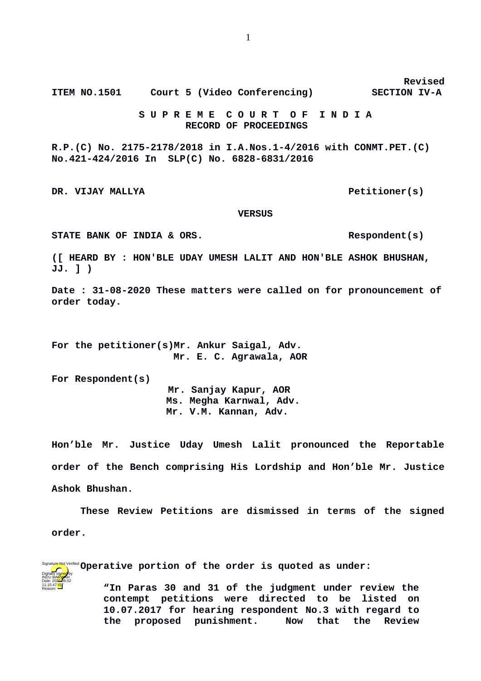**Revised ITEM NO.1501 Court 5 (Video Conferencing) SECTION IV-A**

> **S U P R E M E C O U R T O F I N D I A RECORD OF PROCEEDINGS**

**R.P.(C) No. 2175-2178/2018 in I.A.Nos.1-4/2016 with CONMT.PET.(C) No.421-424/2016 In SLP(C) No. 6828-6831/2016**

**DR. VIJAY MALLYA Petitioner(s)** 

## **VERSUS**

STATE BANK OF INDIA & ORS. Respondent(s)

**([ HEARD BY : HON'BLE UDAY UMESH LALIT AND HON'BLE ASHOK BHUSHAN, JJ. ] )**

**Date : 31-08-2020 These matters were called on for pronouncement of order today.**

**For the petitioner(s)Mr. Ankur Saigal, Adv. Mr. E. C. Agrawala, AOR**

**For Respondent(s)** 

INDU MARWAH Date: 2020.09.02 11:15:47 IST Reason:

 **Mr. Sanjay Kapur, AOR Ms. Megha Karnwal, Adv. Mr. V.M. Kannan, Adv.**

**Hon'ble Mr. Justice Uday Umesh Lalit pronounced the Reportable order of the Bench comprising His Lordship and Hon'ble Mr. Justice Ashok Bhushan.**

**These Review Petitions are dismissed in terms of the signed order.**

**Signature Not** Verified **Operative portion of the order is quoted as under:** Digitally signed by

> **"In Paras 30 and 31 of the judgment under review the contempt petitions were directed to be listed on 10.07.2017 for hearing respondent No.3 with regard to the proposed punishment. Now that the Review**